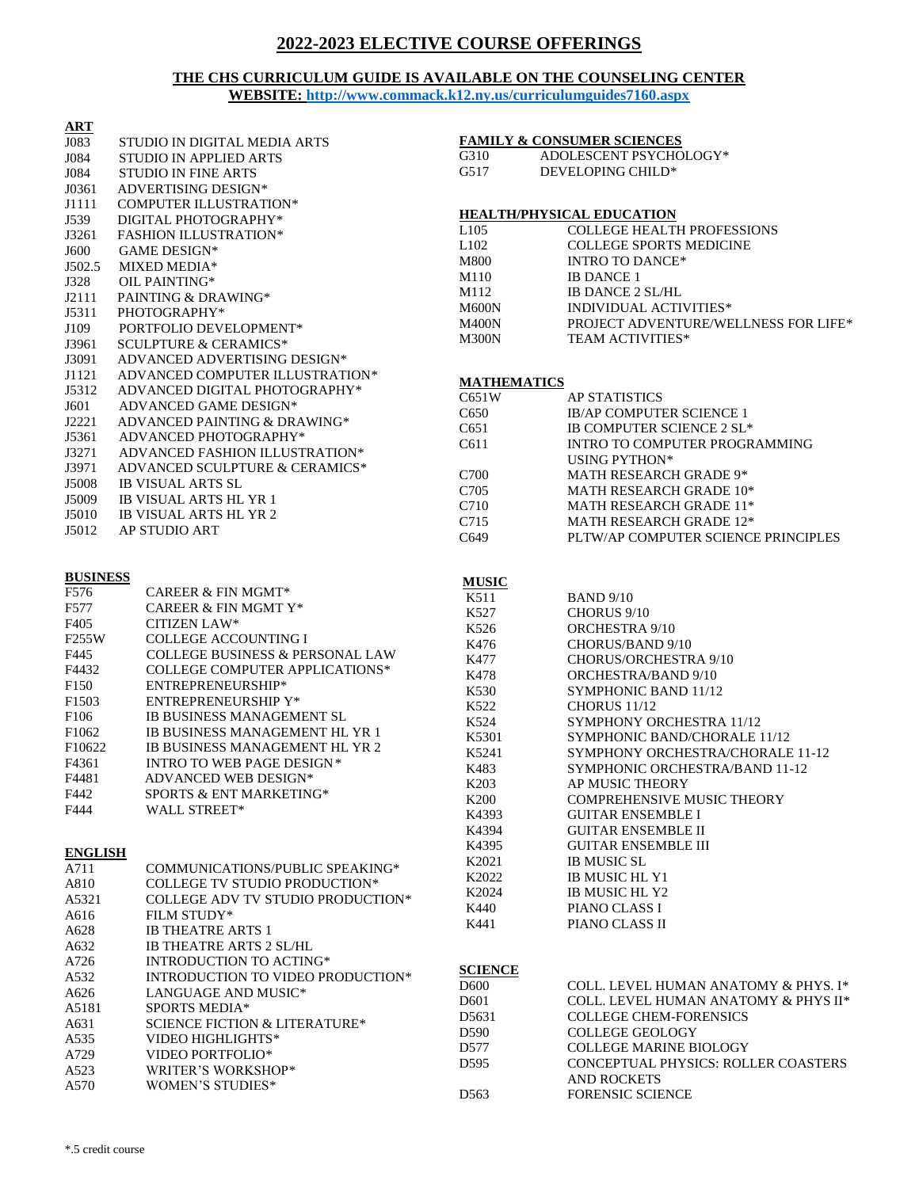# **2022-2023 ELECTIVE COURSE OFFERINGS**

### **THE CHS CURRICULUM GUIDE IS AVAILABLE ON THE COUNSELING CENTER WEBSITE:<http://www.commack.k12.ny.us/curriculumguides7160.aspx>**

| $\overline{\text{ART}}$ |                                            |                    |                                                                    |
|-------------------------|--------------------------------------------|--------------------|--------------------------------------------------------------------|
| J083                    | STUDIO IN DIGITAL MEDIA ARTS               |                    | <b>FAMILY &amp; CONSUMER SCIENCES</b>                              |
| J084                    | <b>STUDIO IN APPLIED ARTS</b>              | G310               | ADOLESCENT PSYCHOLOGY*                                             |
| J084                    | <b>STUDIO IN FINE ARTS</b>                 | G517               | DEVELOPING CHILD*                                                  |
| J0361                   | ADVERTISING DESIGN*                        |                    |                                                                    |
| J1111                   | <b>COMPUTER ILLUSTRATION*</b>              |                    |                                                                    |
| J539                    | DIGITAL PHOTOGRAPHY*                       |                    | <b>HEALTH/PHYSICAL EDUCATION</b>                                   |
| J3261                   | <b>FASHION ILLUSTRATION*</b>               | L <sub>105</sub>   | <b>COLLEGE HEALTH PROFESSIONS</b>                                  |
| J600                    | <b>GAME DESIGN*</b>                        | L102               | <b>COLLEGE SPORTS MEDICINE</b>                                     |
| J502.5                  | MIXED MEDIA*                               | M800               | <b>INTRO TO DANCE*</b>                                             |
| J328                    | OIL PAINTING*                              | M110               | <b>IB DANCE 1</b>                                                  |
| J2111                   | PAINTING & DRAWING*                        | M112               | <b>IB DANCE 2 SL/HL</b>                                            |
| J5311                   | PHOTOGRAPHY*                               | <b>M600N</b>       | <b>INDIVIDUAL ACTIVITIES*</b>                                      |
| J109                    | PORTFOLIO DEVELOPMENT*                     | <b>M400N</b>       | PROJECT ADVENTURE/WELLNESS FOR LIFE*                               |
| J3961                   | <b>SCULPTURE &amp; CERAMICS*</b>           | <b>M300N</b>       | <b>TEAM ACTIVITIES*</b>                                            |
| J3091                   | ADVANCED ADVERTISING DESIGN*               |                    |                                                                    |
| J1121                   | ADVANCED COMPUTER ILLUSTRATION*            | <b>MATHEMATICS</b> |                                                                    |
| J5312                   | ADVANCED DIGITAL PHOTOGRAPHY*              | C651W              | <b>AP STATISTICS</b>                                               |
| J601                    | ADVANCED GAME DESIGN*                      |                    |                                                                    |
| J2221                   | ADVANCED PAINTING & DRAWING*               | C650               | IB/AP COMPUTER SCIENCE 1<br>IB COMPUTER SCIENCE 2 SL*              |
| J5361                   | ADVANCED PHOTOGRAPHY*                      | C <sub>651</sub>   |                                                                    |
| J3271                   | ADVANCED FASHION ILLUSTRATION*             | C611               | <b>INTRO TO COMPUTER PROGRAMMING</b>                               |
| J3971                   | ADVANCED SCULPTURE & CERAMICS*             |                    | USING PYTHON*                                                      |
| J5008                   | <b>IB VISUAL ARTS SL</b>                   | C700               | MATH RESEARCH GRADE 9*                                             |
| J5009                   | <b>IB VISUAL ARTS HL YR 1</b>              | C705               | MATH RESEARCH GRADE 10*                                            |
| J5010                   | IB VISUAL ARTS HL YR 2                     | C710               | MATH RESEARCH GRADE 11*                                            |
| J5012                   | <b>AP STUDIO ART</b>                       | C715               | MATH RESEARCH GRADE 12*                                            |
|                         |                                            | C649               | PLTW/AP COMPUTER SCIENCE PRINCIPLES                                |
|                         |                                            |                    |                                                                    |
| <b>BUSINESS</b>         |                                            | <b>MUSIC</b>       |                                                                    |
| F576                    | <b>CAREER &amp; FIN MGMT*</b>              | K511               | <b>BAND 9/10</b>                                                   |
| F577                    | <b>CAREER &amp; FIN MGMT Y*</b>            | K527               | CHORUS 9/10                                                        |
| F405                    | <b>CITIZEN LAW*</b>                        | K526               | <b>ORCHESTRA 9/10</b>                                              |
| F255W                   | <b>COLLEGE ACCOUNTING I</b>                | K476               | CHORUS/BAND 9/10                                                   |
| F445                    | <b>COLLEGE BUSINESS &amp; PERSONAL LAW</b> | K477               | <b>CHORUS/ORCHESTRA 9/10</b>                                       |
| F4432                   | <b>COLLEGE COMPUTER APPLICATIONS*</b>      | K478               | ORCHESTRA/BAND 9/10                                                |
| F <sub>150</sub>        | ENTREPRENEURSHIP*                          | K530               | SYMPHONIC BAND 11/12                                               |
| F1503                   | <b>ENTREPRENEURSHIP Y*</b>                 |                    | <b>CHORUS 11/12</b>                                                |
| F106                    | IB BUSINESS MANAGEMENT SL                  | K522<br>K524       | SYMPHONY ORCHESTRA 11/12                                           |
| F1062                   | IB BUSINESS MANAGEMENT HL YR 1             |                    | SYMPHONIC BAND/CHORALE 11/12                                       |
| F10622                  | IB BUSINESS MANAGEMENT HL YR 2             | K5301              |                                                                    |
| F4361                   | <b>INTRO TO WEB PAGE DESIGN*</b>           | K5241              | SYMPHONY ORCHESTRA/CHORALE 11-12<br>SYMPHONIC ORCHESTRA/BAND 11-12 |
| F4481                   | ADVANCED WEB DESIGN*                       | K483               |                                                                    |
| F442                    | SPORTS & ENT MARKETING*                    | K <sub>203</sub>   | AP MUSIC THEORY                                                    |
| F444                    | WALL STREET*                               | K200               | <b>COMPREHENSIVE MUSIC THEORY</b>                                  |
|                         |                                            | K4393              | <b>GUITAR ENSEMBLE I</b>                                           |
|                         |                                            | K4394              | <b>GUITAR ENSEMBLE II</b>                                          |
| <b>ENGLISH</b>          |                                            | K4395              | <b>GUITAR ENSEMBLE III</b>                                         |
| A711                    | COMMUNICATIONS/PUBLIC SPEAKING*            | K2021              | <b>IB MUSIC SL</b>                                                 |
| A810                    | COLLEGE TV STUDIO PRODUCTION*              | K2022              | IB MUSIC HL Y1                                                     |
| A5321                   | <b>COLLEGE ADV TV STUDIO PRODUCTION*</b>   | K2024              | IB MUSIC HL Y2                                                     |
| A616                    | FILM STUDY*                                | K440               | PIANO CLASS I                                                      |
| A628                    | <b>IB THEATRE ARTS 1</b>                   | K441               | PIANO CLASS II                                                     |
| A632                    | <b>IB THEATRE ARTS 2 SL/HL</b>             |                    |                                                                    |
| A726                    | INTRODUCTION TO ACTING*                    |                    |                                                                    |
| A532                    | INTRODUCTION TO VIDEO PRODUCTION*          | <b>SCIENCE</b>     |                                                                    |
| A626                    | LANGUAGE AND MUSIC*                        | D <sub>600</sub>   | COLL. LEVEL HUMAN ANATOMY & PHYS. I*                               |
| A5181                   | SPORTS MEDIA*                              | D <sub>601</sub>   | COLL. LEVEL HUMAN ANATOMY & PHYS II*                               |
| A631                    | <b>SCIENCE FICTION &amp; LITERATURE*</b>   | D5631              | <b>COLLEGE CHEM-FORENSICS</b>                                      |
| A535                    | VIDEO HIGHLIGHTS*                          | D590               | <b>COLLEGE GEOLOGY</b>                                             |
| A729                    | VIDEO PORTFOLIO*                           | D577               | <b>COLLEGE MARINE BIOLOGY</b>                                      |
| A523                    | WRITER'S WORKSHOP*                         | D <sub>595</sub>   | CONCEPTUAL PHYSICS: ROLLER COASTERS                                |
| A570                    | <b>WOMEN'S STUDIES*</b>                    |                    | <b>AND ROCKETS</b>                                                 |
|                         |                                            | D <sub>563</sub>   | <b>FORENSIC SCIENCE</b>                                            |